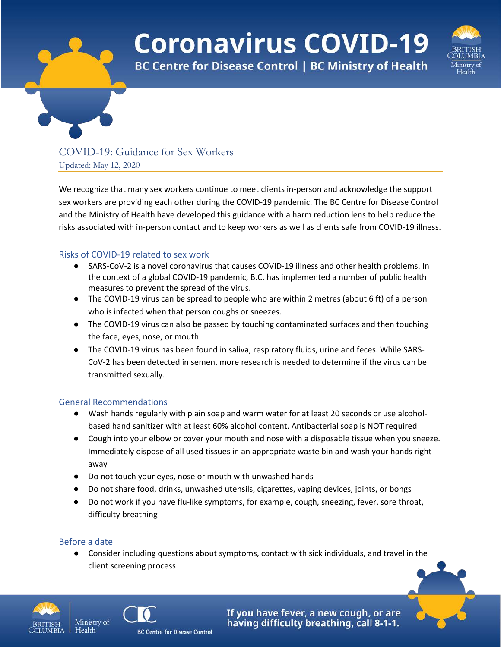# **Coronavirus COVID-19**



**BC Centre for Disease Control | BC Ministry of Health** 

## COVID-19: Guidance for Sex Workers Updated: May 12, 2020

We recognize that many sex workers continue to meet clients in-person and acknowledge the support sex workers are providing each other during the COVID-19 pandemic. The BC Centre for Disease Control and the Ministry of Health have developed this guidance with a harm reduction lens to help reduce the risks associated with in-person contact and to keep workers as well as clients safe from COVID-19 illness.

#### Risks of COVID-19 related to sex work

- SARS-CoV-2 is a novel coronavirus that causes COVID-19 illness and other health problems. In the context of a global COVID-19 pandemic, B.C. has implemented a number of public health measures to prevent the spread of the virus.
- The COVID-19 virus can be spread to people who are within 2 metres (about 6 ft) of a person who is infected when that person coughs or sneezes.
- The COVID-19 virus can also be passed by touching contaminated surfaces and then touching the face, eyes, nose, or mouth.
- The COVID-19 virus has been found in saliva, respiratory fluids, urine and feces. While SARS-CoV-2 has been detected in semen, more research is needed to determine if the virus can be transmitted sexually.

## General Recommendations

- Wash hands regularly with plain soap and warm water for at least 20 seconds or use alcoholbased hand sanitizer with at least 60% alcohol content. Antibacterial soap is NOT required
- Cough into your elbow or cover your mouth and nose with a disposable tissue when you sneeze. Immediately dispose of all used tissues in an appropriate waste bin and wash your hands right away
- Do not touch your eyes, nose or mouth with unwashed hands
- Do not share food, drinks, unwashed utensils, cigarettes, vaping devices, joints, or bongs
- Do not work if you have flu-like symptoms, for example, cough, sneezing, fever, sore throat, difficulty breathing

## Before a date

Health

● Consider including questions about symptoms, contact with sick individuals, and travel in the client screening process





If you have fever, a new cough, or are having difficulty breathing, call 8-1-1.

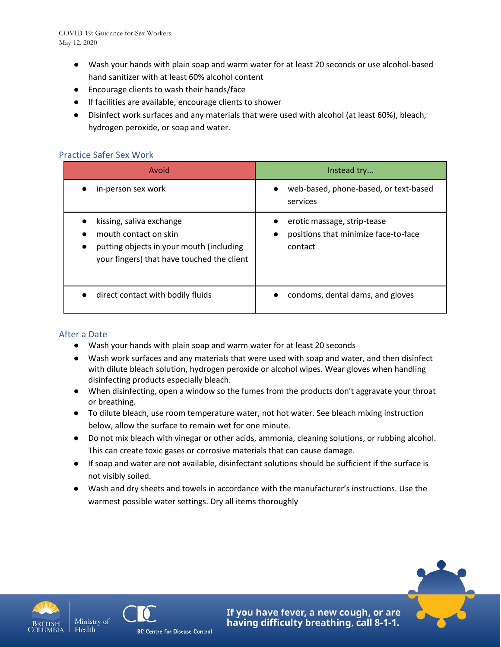- Wash your hands with plain soap and warm water for at least 20 seconds or use alcohol-based hand sanitizer with at least 60% alcohol content
- Encourage clients to wash their hands/face
- If facilities are available, encourage clients to shower
- Disinfect work surfaces and any materials that were used with alcohol (at least 60%), bleach, hydrogen peroxide, or soap and water.

#### Practice Safer Sex Work

| Avoid                                                                                                                                       | Instead try                                                                    |
|---------------------------------------------------------------------------------------------------------------------------------------------|--------------------------------------------------------------------------------|
| in-person sex work                                                                                                                          | web-based, phone-based, or text-based<br>services                              |
| kissing, saliva exchange<br>mouth contact on skin<br>putting objects in your mouth (including<br>your fingers) that have touched the client | erotic massage, strip-tease<br>positions that minimize face-to-face<br>contact |
| direct contact with bodily fluids                                                                                                           | condoms, dental dams, and gloves                                               |

#### After a Date

- Wash your hands with plain soap and warm water for at least 20 seconds
- Wash work surfaces and any materials that were used with soap and water, and then disinfect with dilute bleach solution, hydrogen peroxide or alcohol wipes. Wear gloves when handling disinfecting products especially bleach.
- When disinfecting, open a window so the fumes from the products don't aggravate your throat or breathing.
- To dilute bleach, use room temperature water, not hot water. See bleach mixing instruction below, allow the surface to remain wet for one minute.
- Do not mix bleach with vinegar or other acids, ammonia, cleaning solutions, or rubbing alcohol. This can create toxic gases or corrosive materials that can cause damage.
- If soap and water are not available, disinfectant solutions should be sufficient if the surface is not visibly soiled.
- Wash and dry sheets and towels in accordance with the manufacturer's instructions. Use the warmest possible water settings. Dry all items thoroughly







**BC Centre for Disease Control** 

If you have fever, a new cough, or are having difficulty breathing, call 8-1-1.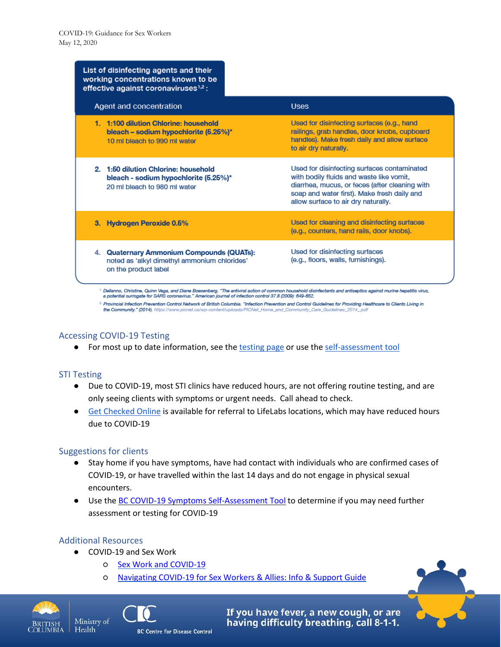| List of disinfecting agents and their<br>working concentrations known to be<br>effective against coronaviruses <sup>1,2</sup> : |                                                                                                                                                                                                                                 |
|---------------------------------------------------------------------------------------------------------------------------------|---------------------------------------------------------------------------------------------------------------------------------------------------------------------------------------------------------------------------------|
| Agent and concentration                                                                                                         | <b>Uses</b>                                                                                                                                                                                                                     |
| 1. 1:100 dilution Chlorine: household<br>bleach – sodium hypochlorite $(5.25\%)^*$<br>10 ml bleach to 990 ml water              | Used for disinfecting surfaces (e.g., hand<br>railings, grab handles, door knobs, cupboard<br>handles). Make fresh daily and allow surface<br>to air dry naturally.                                                             |
| 2. 1:50 dilution Chlorine: household<br>bleach - sodium hypochlorite (5.25%)*<br>20 ml bleach to 980 ml water                   | Used for disinfecting surfaces contaminated<br>with bodily fluids and waste like vomit,<br>diarrhea, mucus, or feces (after cleaning with<br>soap and water first). Make fresh daily and<br>allow surface to air dry naturally. |
| 3. Hydrogen Peroxide 0.5%                                                                                                       | Used for cleaning and disinfecting surfaces<br>(e.g., counters, hand rails, door knobs).                                                                                                                                        |
| 4. Quaternary Ammonium Compounds (QUATs):<br>noted as 'alkyl dimethyl ammonium chlorides'<br>on the product label               | Used for disinfecting surfaces<br>(e.g., floors, walls, furnishings).                                                                                                                                                           |

<sup>1.</sup> Dellanno, Christine, Quinn Vega, and Diane Boesenberg. "The antiviral action of common household disinfectants and antiseptics against murine hepatitis virus,<br>a potential surrogate for SARS coronavirus." American jour

<sup>2</sup> Provincial Infection Prevention Control Network of British Columbia. "Infection Prevention and Control Guidelines for Providing Healthcare to Clients Living in the Community." (2014). https://www.picnet.ca/wp-content/uploads/PICNet\_Home\_and\_Community\_Care\_Guidelines\_2014\_

## Accessing COVID-19 Testing

● For most up to date information, see the [testing](http://www.bccdc.ca/health-info/diseases-conditions/covid-19/testing) page or use the [self-assessment](https://covid19.thrive.health/) tool

## STI Testing

- Due to COVID-19, most STI clinics have reduced hours, are not offering routine testing, and are only seeing clients with symptoms or urgent needs. Call ahead to check.
- Get [Checked](https://getcheckedonline.com/Pages/default.aspx) Online is available for referral to LifeLabs locations, which may have reduced hours due to COVID-19

#### Suggestions for clients

- Stay home if you have symptoms, have had contact with individuals who are confirmed cases of COVID-19, or have travelled within the last 14 days and do not engage in physical sexual encounters.
- Use the BC COVID-19 Symptoms [Self-Assessment](https://bc.thrive.health/) Tool to determine if you may need further assessment or testing for COVID-19

## Additional Resources

Health

- COVID-19 and Sex Work
	- Sex Work and [COVID-19](https://drive.google.com/file/d/1ymJ5motdh0zh453-wFs1p4syL3koC2dD/view?fbclid=IwAR0RgufW9Q4xmFcO3XAPR199LrPoiHoIHElwhW8rkpoofTj30j_M7Vw1Bwc)
	- [Navigating](https://bayareaworkerssupport.org/covid19) COVID-19 for Sex Workers & Allies: Info & Support Guide





If you have fever, a new cough, or are having difficulty breathing, call 8-1-1.